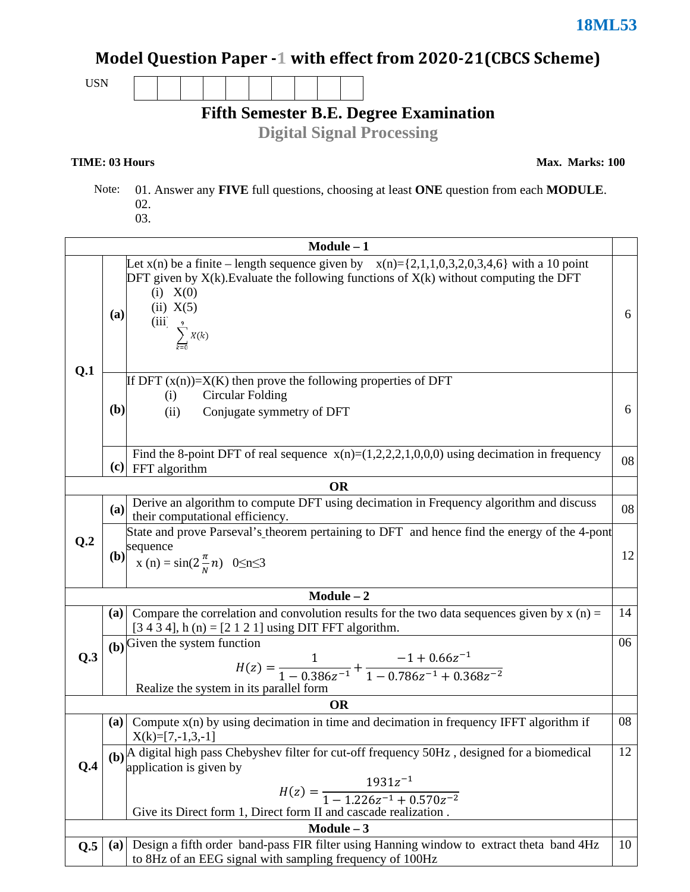## Model Question Paper -1 with effect from 2020-21(CBCS Scheme)

USN

**Fifth Semester B.E. Degree Examination** 

**Digital Signal Processing** 

## **TIME: 03 Hours**

**Max. Marks: 100**

 Note: 01. Answer any **FIVE** full questions, choosing at least **ONE** question from each **MODULE**. 02. 03.

|                 | $Module - 1$                                                                                                                                                                                                                                                    |    |  |  |  |  |  |  |
|-----------------|-----------------------------------------------------------------------------------------------------------------------------------------------------------------------------------------------------------------------------------------------------------------|----|--|--|--|--|--|--|
| Q.1             | Let $x(n)$ be a finite – length sequence given by $x(n)=\{2,1,1,0,3,2,0,3,4,6\}$ with a 10 point<br>DFT given by $X(k)$ . Evaluate the following functions of $X(k)$ without computing the DFT<br>(i) $X(0)$<br>(ii) X(5)<br>(a)<br>(iii) $\sum_{k=0}^{9} X(k)$ | 6  |  |  |  |  |  |  |
|                 | If DFT $(x(n))=X(K)$ then prove the following properties of DFT<br><b>Circular Folding</b><br>(i)<br>(b)<br>(ii)<br>Conjugate symmetry of DFT                                                                                                                   | 6  |  |  |  |  |  |  |
|                 | Find the 8-point DFT of real sequence $x(n)=(1,2,2,2,1,0,0,0)$ using decimation in frequency<br>$(c)$ FFT algorithm                                                                                                                                             | 08 |  |  |  |  |  |  |
|                 | <b>OR</b>                                                                                                                                                                                                                                                       |    |  |  |  |  |  |  |
|                 | Derive an algorithm to compute DFT using decimation in Frequency algorithm and discuss<br>(a)<br>their computational efficiency.                                                                                                                                | 08 |  |  |  |  |  |  |
| Q <sub>.2</sub> | State and prove Parseval's theorem pertaining to DFT and hence find the energy of the 4-pont<br>sequence<br>$x(n) = \sin(2\frac{\pi}{N}n)$ 0 $\leq n \leq 3$<br><b>(b)</b>                                                                                      | 12 |  |  |  |  |  |  |
| $Module - 2$    |                                                                                                                                                                                                                                                                 |    |  |  |  |  |  |  |
|                 | Compare the correlation and convolution results for the two data sequences given by $x(n) =$<br><b>(a)</b><br>$[3 4 3 4]$ , h (n) = $[2 1 2 1]$ using DIT FFT algorithm.                                                                                        | 14 |  |  |  |  |  |  |
| Q.3             | $(b)$ Given the system function<br>$H(z) = \frac{1}{1 - 0.386z^{-1}} + \frac{-1 + 0.66z^{-1}}{1 - 0.786z^{-1} + 0.368z^{-2}}$<br>Realize the system in its parallel form                                                                                        | 06 |  |  |  |  |  |  |
|                 | <b>OR</b>                                                                                                                                                                                                                                                       |    |  |  |  |  |  |  |
| Q.4             | Compute $x(n)$ by using decimation in time and decimation in frequency IFFT algorithm if<br>(a)<br>$X(k)=[7,-1,3,-1]$                                                                                                                                           | 08 |  |  |  |  |  |  |
|                 | (b) A digital high pass Chebyshev filter for cut-off frequency 50Hz, designed for a biomedical<br>application is given by                                                                                                                                       | 12 |  |  |  |  |  |  |
|                 | $H(z) = \frac{1931z^{-1}}{1 - 1.226z^{-1} + 0.570z^{-2}}$<br>Give its Direct form 1, Direct form II and cascade realization.                                                                                                                                    |    |  |  |  |  |  |  |
|                 | $Module - 3$                                                                                                                                                                                                                                                    |    |  |  |  |  |  |  |
| Q.5             | Design a fifth order band-pass FIR filter using Hanning window to extract theta band 4Hz<br>(a)<br>to 8Hz of an EEG signal with sampling frequency of 100Hz                                                                                                     | 10 |  |  |  |  |  |  |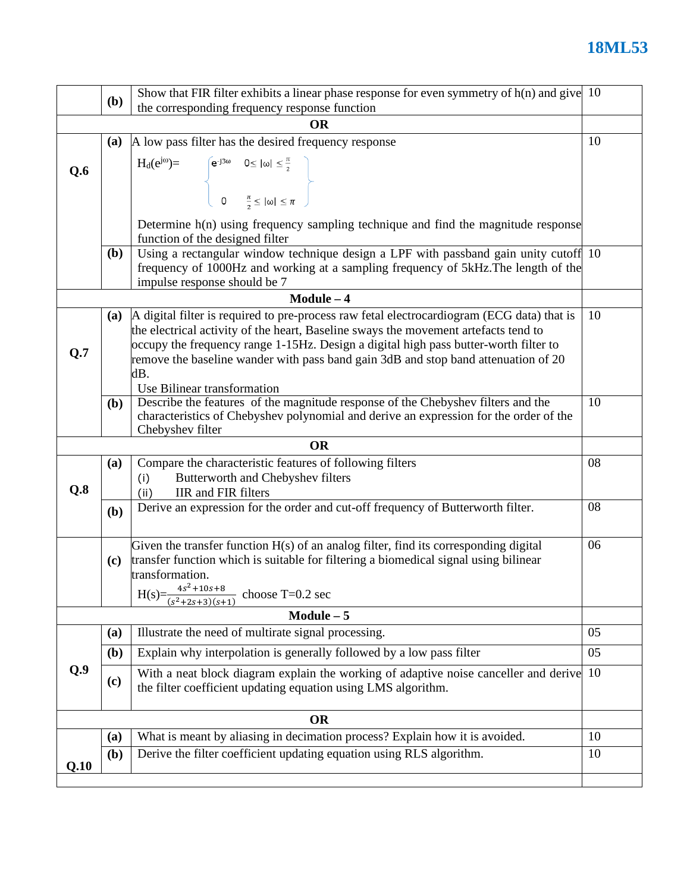## **18ML53**

|              | <b>(b)</b>                                                                                                                                                                                                                                                                                                                                                                                                   | Show that FIR filter exhibits a linear phase response for even symmetry of $h(n)$ and give 10                                                            |    |  |  |  |  |  |  |
|--------------|--------------------------------------------------------------------------------------------------------------------------------------------------------------------------------------------------------------------------------------------------------------------------------------------------------------------------------------------------------------------------------------------------------------|----------------------------------------------------------------------------------------------------------------------------------------------------------|----|--|--|--|--|--|--|
|              | the corresponding frequency response function                                                                                                                                                                                                                                                                                                                                                                |                                                                                                                                                          |    |  |  |  |  |  |  |
| <b>OR</b>    |                                                                                                                                                                                                                                                                                                                                                                                                              |                                                                                                                                                          |    |  |  |  |  |  |  |
|              | (a)                                                                                                                                                                                                                                                                                                                                                                                                          | A low pass filter has the desired frequency response                                                                                                     | 10 |  |  |  |  |  |  |
| Q.6          | H <sub>d</sub> (e <sup>jo</sup> )=<br>$\begin{cases} e^{-j3\omega} & 0 \le  \omega  \le \frac{\pi}{2} \\ 0 & \frac{\pi}{2} \le  \omega  \le \pi \end{cases}$                                                                                                                                                                                                                                                 |                                                                                                                                                          |    |  |  |  |  |  |  |
|              |                                                                                                                                                                                                                                                                                                                                                                                                              | Determine h(n) using frequency sampling technique and find the magnitude response<br>function of the designed filter                                     |    |  |  |  |  |  |  |
|              | Using a rectangular window technique design a LPF with passband gain unity cutoff 10<br><b>(b)</b><br>frequency of 1000Hz and working at a sampling frequency of 5kHz. The length of the<br>impulse response should be 7                                                                                                                                                                                     |                                                                                                                                                          |    |  |  |  |  |  |  |
|              |                                                                                                                                                                                                                                                                                                                                                                                                              | $Module - 4$                                                                                                                                             |    |  |  |  |  |  |  |
| Q.7          | A digital filter is required to pre-process raw fetal electrocardiogram (ECG data) that is<br>(a)<br>the electrical activity of the heart, Baseline sways the movement artefacts tend to<br>occupy the frequency range 1-15Hz. Design a digital high pass butter-worth filter to<br>remove the baseline wander with pass band gain 3dB and stop band attenuation of 20<br>dB.<br>Use Bilinear transformation |                                                                                                                                                          |    |  |  |  |  |  |  |
|              | Describe the features of the magnitude response of the Chebyshev filters and the<br>( <b>b</b> )<br>characteristics of Chebyshev polynomial and derive an expression for the order of the<br>Chebyshev filter                                                                                                                                                                                                |                                                                                                                                                          |    |  |  |  |  |  |  |
|              |                                                                                                                                                                                                                                                                                                                                                                                                              | <b>OR</b>                                                                                                                                                |    |  |  |  |  |  |  |
| Q.8          | (a)                                                                                                                                                                                                                                                                                                                                                                                                          | Compare the characteristic features of following filters<br>Butterworth and Chebyshev filters<br>(i)<br>IIR and FIR filters<br>(ii)                      | 08 |  |  |  |  |  |  |
|              | (b)                                                                                                                                                                                                                                                                                                                                                                                                          | Derive an expression for the order and cut-off frequency of Butterworth filter.                                                                          | 08 |  |  |  |  |  |  |
|              | Given the transfer function $H(s)$ of an analog filter, find its corresponding digital<br>06<br>transfer function which is suitable for filtering a biomedical signal using bilinear<br>(c)<br>transformation.<br>$4s^2 + 10s + 8$<br>choose $T=0.2$ sec<br>H(s)= $\frac{43+25}{(s^2+2s+3)(s+1)}$                                                                                                            |                                                                                                                                                          |    |  |  |  |  |  |  |
| $Module - 5$ |                                                                                                                                                                                                                                                                                                                                                                                                              |                                                                                                                                                          |    |  |  |  |  |  |  |
|              | (a)                                                                                                                                                                                                                                                                                                                                                                                                          | Illustrate the need of multirate signal processing.                                                                                                      | 05 |  |  |  |  |  |  |
| Q.9          | ( <b>b</b> )                                                                                                                                                                                                                                                                                                                                                                                                 | Explain why interpolation is generally followed by a low pass filter                                                                                     | 05 |  |  |  |  |  |  |
|              | $\left( \mathbf{c} \right)$                                                                                                                                                                                                                                                                                                                                                                                  | With a neat block diagram explain the working of adaptive noise canceller and derive 10<br>the filter coefficient updating equation using LMS algorithm. |    |  |  |  |  |  |  |
| <b>OR</b>    |                                                                                                                                                                                                                                                                                                                                                                                                              |                                                                                                                                                          |    |  |  |  |  |  |  |
|              | (a)                                                                                                                                                                                                                                                                                                                                                                                                          | What is meant by aliasing in decimation process? Explain how it is avoided.                                                                              | 10 |  |  |  |  |  |  |
| Q.10         | Derive the filter coefficient updating equation using RLS algorithm.<br>(b)                                                                                                                                                                                                                                                                                                                                  |                                                                                                                                                          |    |  |  |  |  |  |  |